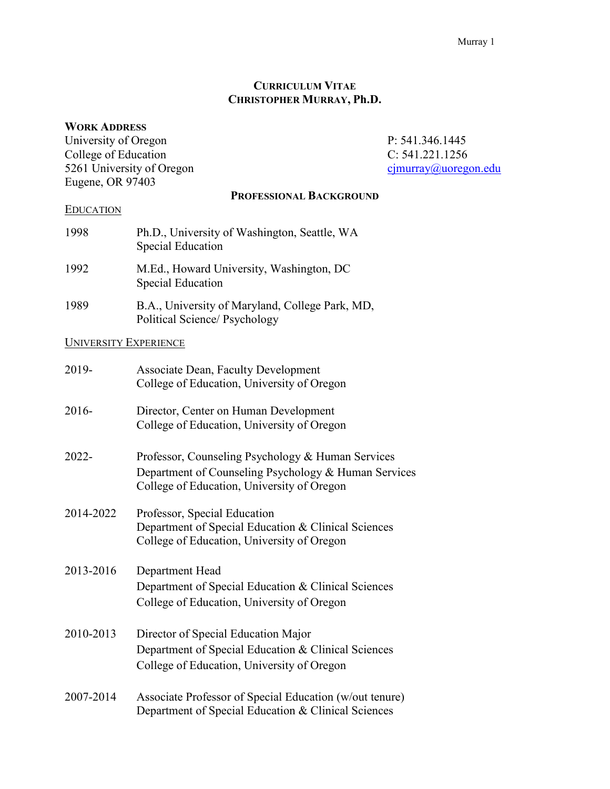### **CURRICULUM VITAE CHRISTOPHER MURRAY, Ph.D.**

#### **WORK ADDRESS**

University of Oregon P: 541.346.1445<br>College of Education C: 541.221.1256 College of Education<br>
5261 University of Oregon<br>
6261 University of Oregon<br>
C: 541.221.1256<br>
C: 541.221.1256 5261 University of Oregon Eugene, OR 97403

#### **PROFESSIONAL BACKGROUND**

### **EDUCATION**

| 1998 | Ph.D., University of Washington, Seattle, WA<br><b>Special Education</b> |
|------|--------------------------------------------------------------------------|
| 1992 | M.Ed., Howard University, Washington, DC<br>Special Education            |
| 1989 | B.A., University of Maryland, College Park, MD,                          |

Political Science/ Psychology

# UNIVERSITY EXPERIENCE

| 2019-     | <b>Associate Dean, Faculty Development</b><br>College of Education, University of Oregon                                                                |
|-----------|---------------------------------------------------------------------------------------------------------------------------------------------------------|
| 2016-     | Director, Center on Human Development<br>College of Education, University of Oregon                                                                     |
| $2022 -$  | Professor, Counseling Psychology & Human Services<br>Department of Counseling Psychology & Human Services<br>College of Education, University of Oregon |
| 2014-2022 | Professor, Special Education<br>Department of Special Education & Clinical Sciences<br>College of Education, University of Oregon                       |
| 2013-2016 | Department Head<br>Department of Special Education & Clinical Sciences<br>College of Education, University of Oregon                                    |
| 2010-2013 | Director of Special Education Major<br>Department of Special Education & Clinical Sciences<br>College of Education, University of Oregon                |
| 2007-2014 | Associate Professor of Special Education (w/out tenure)<br>Department of Special Education & Clinical Sciences                                          |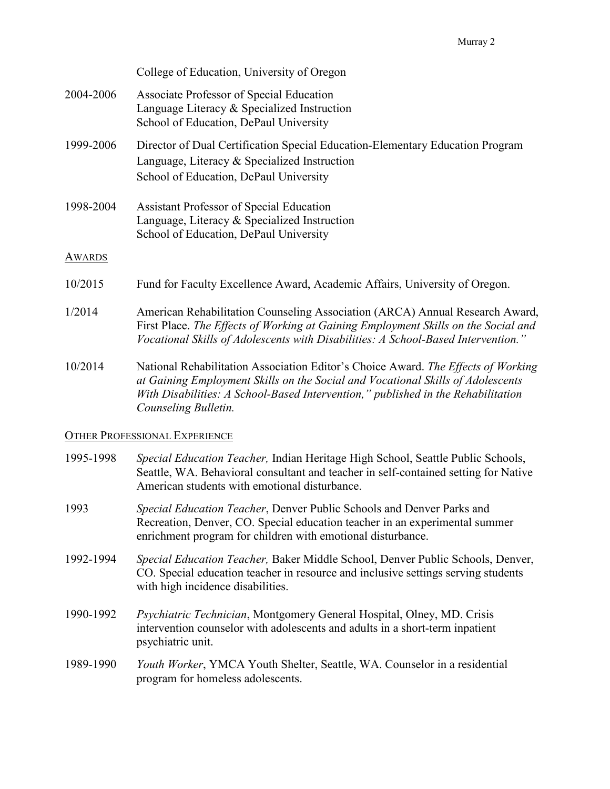|               | College of Education, University of Oregon                                                                                                                                                                                                                                       |
|---------------|----------------------------------------------------------------------------------------------------------------------------------------------------------------------------------------------------------------------------------------------------------------------------------|
| 2004-2006     | Associate Professor of Special Education<br>Language Literacy & Specialized Instruction<br>School of Education, DePaul University                                                                                                                                                |
| 1999-2006     | Director of Dual Certification Special Education-Elementary Education Program<br>Language, Literacy & Specialized Instruction<br>School of Education, DePaul University                                                                                                          |
| 1998-2004     | <b>Assistant Professor of Special Education</b><br>Language, Literacy & Specialized Instruction<br>School of Education, DePaul University                                                                                                                                        |
| <b>AWARDS</b> |                                                                                                                                                                                                                                                                                  |
| 10/2015       | Fund for Faculty Excellence Award, Academic Affairs, University of Oregon.                                                                                                                                                                                                       |
| 1/2014        | American Rehabilitation Counseling Association (ARCA) Annual Research Award,<br>First Place. The Effects of Working at Gaining Employment Skills on the Social and<br>Vocational Skills of Adolescents with Disabilities: A School-Based Intervention."                          |
| 10/2014       | National Rehabilitation Association Editor's Choice Award. The Effects of Working<br>at Gaining Employment Skills on the Social and Vocational Skills of Adolescents<br>With Disabilities: A School-Based Intervention," published in the Rehabilitation<br>Counseling Bulletin. |

# OTHER PROFESSIONAL EXPERIENCE

| 1995-1998 | Special Education Teacher, Indian Heritage High School, Seattle Public Schools,<br>Seattle, WA. Behavioral consultant and teacher in self-contained setting for Native<br>American students with emotional disturbance. |
|-----------|-------------------------------------------------------------------------------------------------------------------------------------------------------------------------------------------------------------------------|
| 1993      | Special Education Teacher, Denver Public Schools and Denver Parks and<br>Recreation, Denver, CO. Special education teacher in an experimental summer<br>enrichment program for children with emotional disturbance.     |
| 1992-1994 | Special Education Teacher, Baker Middle School, Denver Public Schools, Denver,<br>CO. Special education teacher in resource and inclusive settings serving students<br>with high incidence disabilities.                |
| 1990-1992 | Psychiatric Technician, Montgomery General Hospital, Olney, MD. Crisis<br>intervention counselor with adolescents and adults in a short-term inpatient<br>psychiatric unit.                                             |
| 1989-1990 | Youth Worker, YMCA Youth Shelter, Seattle, WA. Counselor in a residential<br>program for homeless adolescents.                                                                                                          |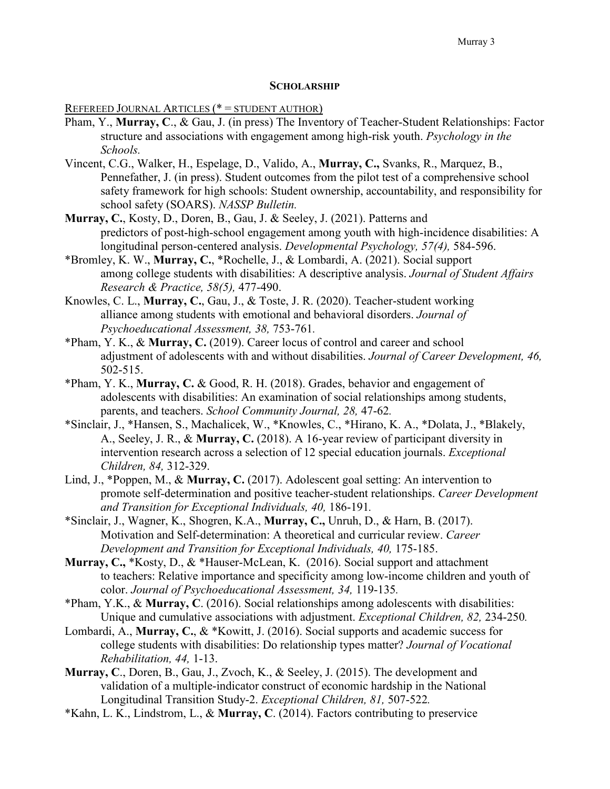#### **SCHOLARSHIP**

REFEREED JOURNAL ARTICLES (\* = STUDENT AUTHOR)

- Pham, Y., **Murray, C**., & Gau, J. (in press) The Inventory of Teacher-Student Relationships: Factor structure and associations with engagement among high-risk youth. *Psychology in the Schools.*
- Vincent, C.G., Walker, H., Espelage, D., Valido, A., **Murray, C.,** Svanks, R., Marquez, B., Pennefather, J. (in press). Student outcomes from the pilot test of a comprehensive school safety framework for high schools: Student ownership, accountability, and responsibility for school safety (SOARS). *NASSP Bulletin.*
- **Murray, C.**, Kosty, D., Doren, B., Gau, J. & Seeley, J. (2021). Patterns and predictors of post-high-school engagement among youth with high-incidence disabilities: A longitudinal person-centered analysis. *Developmental Psychology, 57(4),* 584-596.
- \*Bromley, K. W., **Murray, C.**, \*Rochelle, J., & Lombardi, A. (2021). Social support among college students with disabilities: A descriptive analysis. *Journal of Student Affairs Research & Practice, 58(5),* 477-490.
- Knowles, C. L., **Murray, C.**, Gau, J., & Toste, J. R. (2020). Teacher-student working alliance among students with emotional and behavioral disorders. *Journal of Psychoeducational Assessment, 38,* 753-761*.*
- \*Pham, Y. K., & **Murray, C.** (2019). Career locus of control and career and school adjustment of adolescents with and without disabilities. *Journal of Career Development, 46,*  502-515.
- \*Pham, Y. K., **Murray, C.** & Good, R. H. (2018). Grades, behavior and engagement of adolescents with disabilities: An examination of social relationships among students, parents, and teachers. *School Community Journal, 28,* 47-62*.*
- \*Sinclair, J., \*Hansen, S., Machalicek, W., \*Knowles, C., \*Hirano, K. A., \*Dolata, J., \*Blakely, A., Seeley, J. R., & **Murray, C.** (2018). A 16-year review of participant diversity in intervention research across a selection of 12 special education journals. *Exceptional Children, 84,* 312-329.
- Lind, J., \*Poppen, M., & **Murray, C.** (2017). Adolescent goal setting: An intervention to promote self-determination and positive teacher-student relationships. *Career Development and Transition for Exceptional Individuals, 40,* 186-191*.*
- \*Sinclair, J., Wagner, K., Shogren, K.A., **Murray, C.,** Unruh, D., & Harn, B. (2017). Motivation and Self-determination: A theoretical and curricular review. *Career Development and Transition for Exceptional Individuals, 40,* 175-185.
- **Murray, C.,** \*Kosty, D., & \*Hauser-McLean, K. (2016). Social support and attachment to teachers: Relative importance and specificity among low-income children and youth of color. *Journal of Psychoeducational Assessment, 34,* 119-135*.*
- \*Pham, Y.K., & **Murray, C**. (2016). Social relationships among adolescents with disabilities: Unique and cumulative associations with adjustment. *Exceptional Children, 82,* 234-250*.*
- Lombardi, A., **Murray, C.**, & \*Kowitt, J. (2016). Social supports and academic success for college students with disabilities: Do relationship types matter? *Journal of Vocational Rehabilitation, 44,* 1-13.
- **Murray, C**., Doren, B., Gau, J., Zvoch, K., & Seeley, J. (2015). The development and validation of a multiple-indicator construct of economic hardship in the National Longitudinal Transition Study-2. *Exceptional Children, 81,* 507-522*.*
- \*Kahn, L. K., Lindstrom, L., & **Murray, C**. (2014). Factors contributing to preservice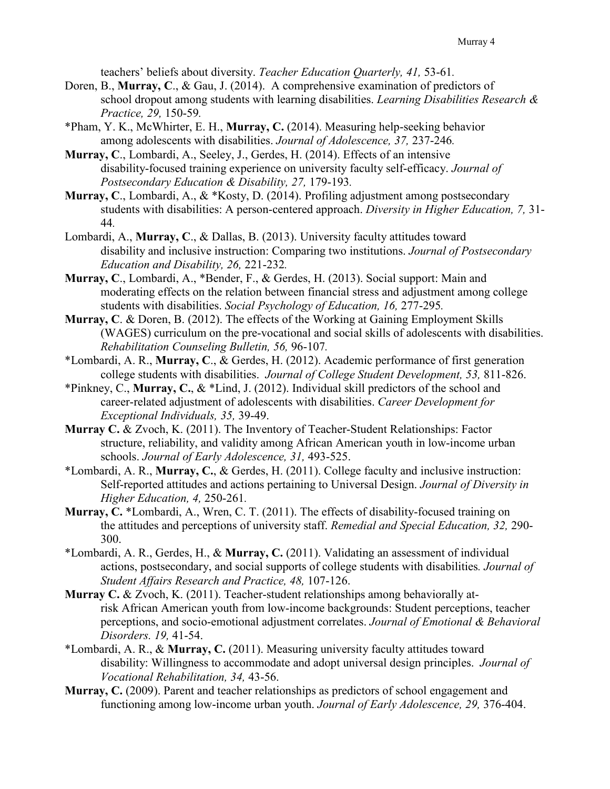teachers' beliefs about diversity. *Teacher Education Quarterly, 41,* 53-61*.*

- Doren, B., **Murray, C**., & Gau, J. (2014). A comprehensive examination of predictors of school dropout among students with learning disabilities. *Learning Disabilities Research & Practice, 29,* 150-59*.*
- \*Pham, Y. K., McWhirter, E. H., **Murray, C.** (2014). Measuring help-seeking behavior among adolescents with disabilities. *Journal of Adolescence, 37,* 237-246*.*
- **Murray, C**., Lombardi, A., Seeley, J., Gerdes, H. (2014). Effects of an intensive disability-focused training experience on university faculty self-efficacy. *Journal of Postsecondary Education & Disability, 27,* 179-193*.*
- **Murray, C**., Lombardi, A., & \*Kosty, D. (2014). Profiling adjustment among postsecondary students with disabilities: A person-centered approach. *Diversity in Higher Education, 7,* 31- 44*.*
- Lombardi, A., **Murray, C**., & Dallas, B. (2013). University faculty attitudes toward disability and inclusive instruction: Comparing two institutions. *Journal of Postsecondary Education and Disability, 26,* 221-232*.*
- **Murray, C**., Lombardi, A., \*Bender, F., & Gerdes, H. (2013). Social support: Main and moderating effects on the relation between financial stress and adjustment among college students with disabilities. *Social Psychology of Education, 16,* 277-295*.*
- **Murray, C**. & Doren, B. (2012). The effects of the Working at Gaining Employment Skills (WAGES) curriculum on the pre-vocational and social skills of adolescents with disabilities. *Rehabilitation Counseling Bulletin, 56,* 96-107*.*
- \*Lombardi, A. R., **Murray, C**., & Gerdes, H. (2012). Academic performance of first generation college students with disabilities. *Journal of College Student Development, 53,* 811-826.
- \*Pinkney, C., **Murray, C.**, & \*Lind, J. (2012). Individual skill predictors of the school and career-related adjustment of adolescents with disabilities. *Career Development for Exceptional Individuals, 35,* 39-49.
- **Murray C.** & Zvoch, K. (2011). The Inventory of Teacher-Student Relationships: Factor structure, reliability, and validity among African American youth in low-income urban schools. *Journal of Early Adolescence, 31,* 493-525.
- \*Lombardi, A. R., **Murray, C.**, & Gerdes, H. (2011). College faculty and inclusive instruction: Self-reported attitudes and actions pertaining to Universal Design. *Journal of Diversity in Higher Education, 4,* 250-261*.*
- **Murray, C.** \*Lombardi, A., Wren, C. T. (2011). The effects of disability-focused training on the attitudes and perceptions of university staff. *Remedial and Special Education, 32,* 290- 300.
- \*Lombardi, A. R., Gerdes, H., & **Murray, C.** (2011). Validating an assessment of individual actions, postsecondary, and social supports of college students with disabilities*. Journal of Student Affairs Research and Practice, 48,* 107-126.
- **Murray C.** & Zvoch, K. (2011). Teacher-student relationships among behaviorally atrisk African American youth from low-income backgrounds: Student perceptions, teacher perceptions, and socio-emotional adjustment correlates. *Journal of Emotional & Behavioral Disorders. 19,* 41-54.
- \*Lombardi, A. R., & **Murray, C.** (2011). Measuring university faculty attitudes toward disability: Willingness to accommodate and adopt universal design principles. *Journal of Vocational Rehabilitation, 34,* 43-56.
- **Murray, C.** (2009). Parent and teacher relationships as predictors of school engagement and functioning among low-income urban youth. *Journal of Early Adolescence, 29,* 376-404.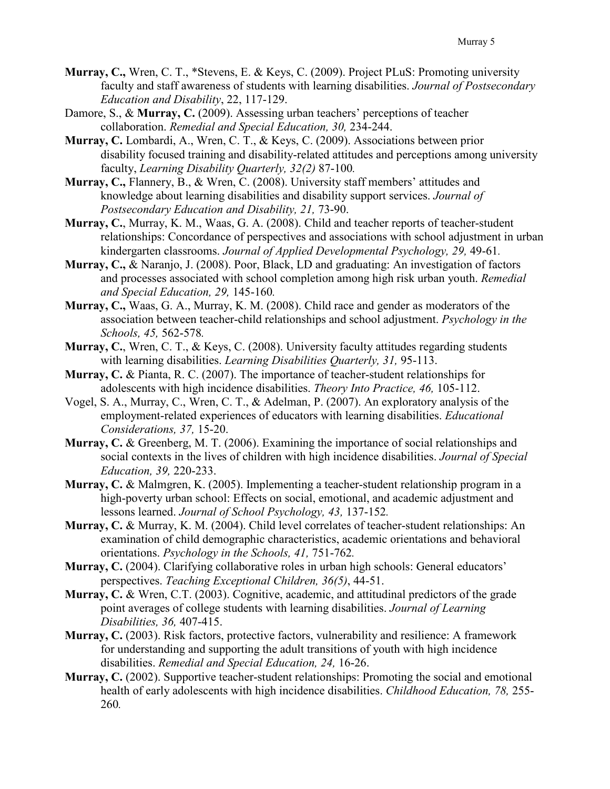- **Murray, C.,** Wren, C. T., \*Stevens, E. & Keys, C. (2009). Project PLuS: Promoting university faculty and staff awareness of students with learning disabilities. *Journal of Postsecondary Education and Disability*, 22, 117-129.
- Damore, S., & **Murray, C.** (2009). Assessing urban teachers' perceptions of teacher collaboration. *Remedial and Special Education, 30,* 234-244.
- **Murray, C.** Lombardi, A., Wren, C. T., & Keys, C. (2009). Associations between prior disability focused training and disability-related attitudes and perceptions among university faculty, *Learning Disability Quarterly, 32(2)* 87-100*.*
- **Murray, C.,** Flannery, B., & Wren, C. (2008). University staff members' attitudes and knowledge about learning disabilities and disability support services. *Journal of Postsecondary Education and Disability, 21,* 73-90.
- **Murray, C.**, Murray, K. M., Waas, G. A. (2008). Child and teacher reports of teacher-student relationships: Concordance of perspectives and associations with school adjustment in urban kindergarten classrooms. *Journal of Applied Developmental Psychology, 29,* 49-61*.*
- **Murray, C.,** & Naranjo, J. (2008). Poor, Black, LD and graduating: An investigation of factors and processes associated with school completion among high risk urban youth. *Remedial and Special Education, 29,* 145-160*.*
- **Murray, C.,** Waas, G. A., Murray, K. M. (2008). Child race and gender as moderators of the association between teacher-child relationships and school adjustment. *Psychology in the Schools, 45,* 562-578*.*
- **Murray, C.**, Wren, C. T., & Keys, C. (2008). University faculty attitudes regarding students with learning disabilities. *Learning Disabilities Quarterly, 31,* 95-113.
- **Murray, C.** & Pianta, R. C. (2007). The importance of teacher-student relationships for adolescents with high incidence disabilities. *Theory Into Practice, 46,* 105-112.
- Vogel, S. A., Murray, C., Wren, C. T., & Adelman, P. (2007). An exploratory analysis of the employment-related experiences of educators with learning disabilities. *Educational Considerations, 37,* 15-20.
- **Murray, C.** & Greenberg, M. T. (2006). Examining the importance of social relationships and social contexts in the lives of children with high incidence disabilities. *Journal of Special Education, 39,* 220-233.
- **Murray, C.** & Malmgren, K. (2005). Implementing a teacher-student relationship program in a high-poverty urban school: Effects on social, emotional, and academic adjustment and lessons learned. *Journal of School Psychology, 43,* 137-152*.*
- **Murray, C.** & Murray, K. M. (2004). Child level correlates of teacher-student relationships: An examination of child demographic characteristics, academic orientations and behavioral orientations. *Psychology in the Schools, 41,* 751-762*.*
- **Murray, C.** (2004). Clarifying collaborative roles in urban high schools: General educators' perspectives. *Teaching Exceptional Children, 36(5)*, 44-51.
- **Murray, C.** & Wren, C.T. (2003). Cognitive, academic, and attitudinal predictors of the grade point averages of college students with learning disabilities. *Journal of Learning Disabilities, 36,* 407-415.
- **Murray, C.** (2003). Risk factors, protective factors, vulnerability and resilience: A framework for understanding and supporting the adult transitions of youth with high incidence disabilities. *Remedial and Special Education, 24,* 16-26.
- **Murray, C.** (2002). Supportive teacher-student relationships: Promoting the social and emotional health of early adolescents with high incidence disabilities. *Childhood Education, 78,* 255- 260*.*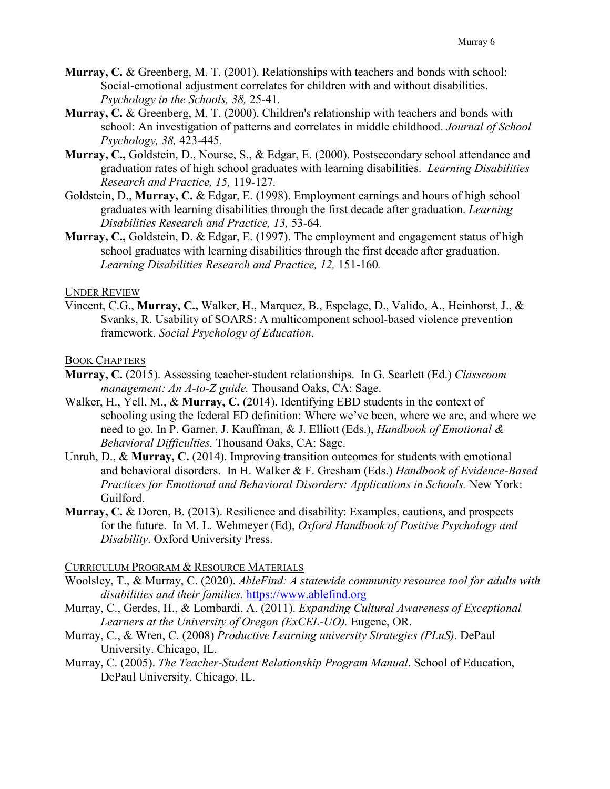- **Murray, C.** & Greenberg, M. T. (2001). Relationships with teachers and bonds with school: Social-emotional adjustment correlates for children with and without disabilities. *Psychology in the Schools, 38,* 25-41*.*
- **Murray, C.** & Greenberg, M. T. (2000). Children's relationship with teachers and bonds with school: An investigation of patterns and correlates in middle childhood. *Journal of School Psychology, 38,* 423-445*.*
- **Murray, C.,** Goldstein, D., Nourse, S., & Edgar, E. (2000). Postsecondary school attendance and graduation rates of high school graduates with learning disabilities. *Learning Disabilities Research and Practice, 15,* 119-127*.*
- Goldstein, D., **Murray, C.** & Edgar, E. (1998). Employment earnings and hours of high school graduates with learning disabilities through the first decade after graduation. *Learning Disabilities Research and Practice, 13,* 53-64*.*
- **Murray, C.,** Goldstein, D. & Edgar, E. (1997). The employment and engagement status of high school graduates with learning disabilities through the first decade after graduation. *Learning Disabilities Research and Practice, 12,* 151-160*.*

### UNDER REVIEW

Vincent, C.G., **Murray, C.,** Walker, H., Marquez, B., Espelage, D., Valido, A., Heinhorst, J., & Svanks, R. Usability of SOARS: A multicomponent school-based violence prevention framework. *Social Psychology of Education*.

### BOOK CHAPTERS

- **Murray, C.** (2015). Assessing teacher-student relationships. In G. Scarlett (Ed.) *Classroom management: An A-to-Z guide.* Thousand Oaks, CA: Sage.
- Walker, H., Yell, M., & **Murray, C.** (2014). Identifying EBD students in the context of schooling using the federal ED definition: Where we've been, where we are, and where we need to go. In P. Garner, J. Kauffman, & J. Elliott (Eds.), *Handbook of Emotional & Behavioral Difficulties.* Thousand Oaks, CA: Sage.
- Unruh, D., & **Murray, C.** (2014). Improving transition outcomes for students with emotional and behavioral disorders. In H. Walker & F. Gresham (Eds.) *Handbook of Evidence-Based Practices for Emotional and Behavioral Disorders: Applications in Schools.* New York: Guilford.
- **Murray, C.** & Doren, B. (2013). Resilience and disability: Examples, cautions, and prospects for the future. In M. L. Wehmeyer (Ed), *Oxford Handbook of Positive Psychology and Disability*. Oxford University Press.

### CURRICULUM PROGRAM & RESOURCE MATERIALS

- Woolsley, T., & Murray, C. (2020). *AbleFind: A statewide community resource tool for adults with disabilities and their families.* [https://www.ablefind.org](https://www.ablefind.org/)
- Murray, C., Gerdes, H., & Lombardi, A. (2011). *Expanding Cultural Awareness of Exceptional Learners at the University of Oregon (ExCEL-UO).* Eugene, OR.
- Murray, C., & Wren, C. (2008) *Productive Learning university Strategies (PLuS)*. DePaul University. Chicago, IL.
- Murray, C. (2005). *The Teacher-Student Relationship Program Manual*. School of Education, DePaul University. Chicago, IL.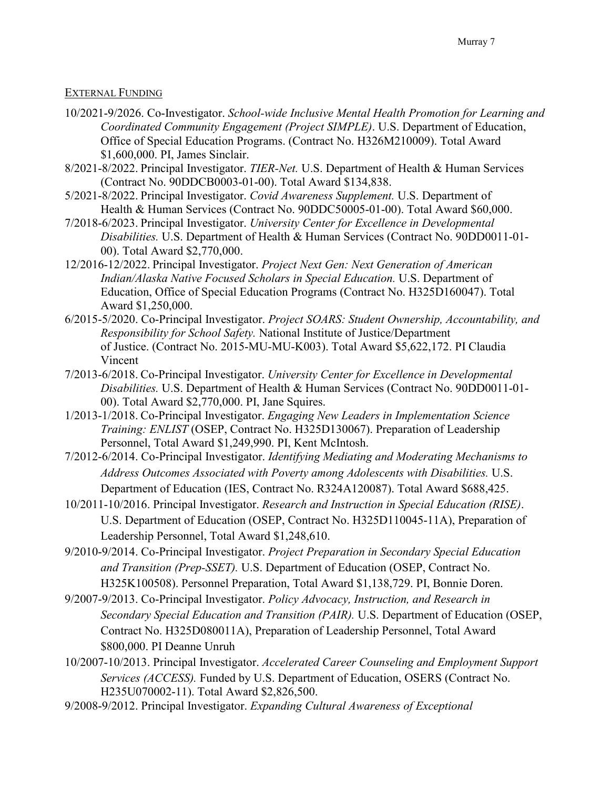### EXTERNAL FUNDING

- 10/2021-9/2026. Co-Investigator. *School-wide Inclusive Mental Health Promotion for Learning and Coordinated Community Engagement (Project SIMPLE)*. U.S. Department of Education, Office of Special Education Programs. (Contract No. H326M210009). Total Award \$1,600,000. PI, James Sinclair.
- 8/2021-8/2022. Principal Investigator. *TIER-Net.* U.S. Department of Health & Human Services (Contract No. 90DDCB0003-01-00). Total Award \$134,838.
- 5/2021-8/2022. Principal Investigator. *Covid Awareness Supplement.* U.S. Department of Health & Human Services (Contract No. 90DDC50005-01-00). Total Award \$60,000.
- 7/2018-6/2023. Principal Investigator. *University Center for Excellence in Developmental Disabilities.* U.S. Department of Health & Human Services (Contract No. 90DD0011-01- 00). Total Award \$2,770,000.
- 12/2016-12/2022. Principal Investigator. *Project Next Gen: Next Generation of American Indian/Alaska Native Focused Scholars in Special Education.* U.S. Department of Education, Office of Special Education Programs (Contract No. H325D160047). Total Award \$1,250,000.
- 6/2015-5/2020. Co-Principal Investigator. *Project SOARS: Student Ownership, Accountability, and Responsibility for School Safety.* National Institute of Justice/Department of Justice. (Contract No. 2015-MU-MU-K003). Total Award \$5,622,172. PI Claudia Vincent
- 7/2013-6/2018. Co-Principal Investigator. *University Center for Excellence in Developmental Disabilities.* U.S. Department of Health & Human Services (Contract No. 90DD0011-01- 00). Total Award \$2,770,000. PI, Jane Squires.
- 1/2013-1/2018. Co-Principal Investigator. *Engaging New Leaders in Implementation Science Training: ENLIST* (OSEP, Contract No. H325D130067). Preparation of Leadership Personnel, Total Award \$1,249,990. PI, Kent McIntosh.
- 7/2012-6/2014. Co-Principal Investigator. *Identifying Mediating and Moderating Mechanisms to Address Outcomes Associated with Poverty among Adolescents with Disabilities.* U.S. Department of Education (IES, Contract No. R324A120087). Total Award \$688,425.
- 10/2011-10/2016. Principal Investigator. *Research and Instruction in Special Education (RISE)*. U.S. Department of Education (OSEP, Contract No. H325D110045-11A), Preparation of Leadership Personnel, Total Award \$1,248,610.
- 9/2010-9/2014. Co-Principal Investigator. *Project Preparation in Secondary Special Education and Transition (Prep-SSET).* U.S. Department of Education (OSEP, Contract No. H325K100508). Personnel Preparation, Total Award \$1,138,729. PI, Bonnie Doren.
- 9/2007-9/2013. Co-Principal Investigator. *Policy Advocacy, Instruction, and Research in Secondary Special Education and Transition (PAIR).* U.S. Department of Education (OSEP, Contract No. H325D080011A), Preparation of Leadership Personnel, Total Award \$800,000. PI Deanne Unruh
- 10/2007-10/2013. Principal Investigator. *Accelerated Career Counseling and Employment Support Services (ACCESS).* Funded by U.S. Department of Education, OSERS (Contract No. H235U070002-11). Total Award \$2,826,500.
- 9/2008-9/2012. Principal Investigator. *Expanding Cultural Awareness of Exceptional*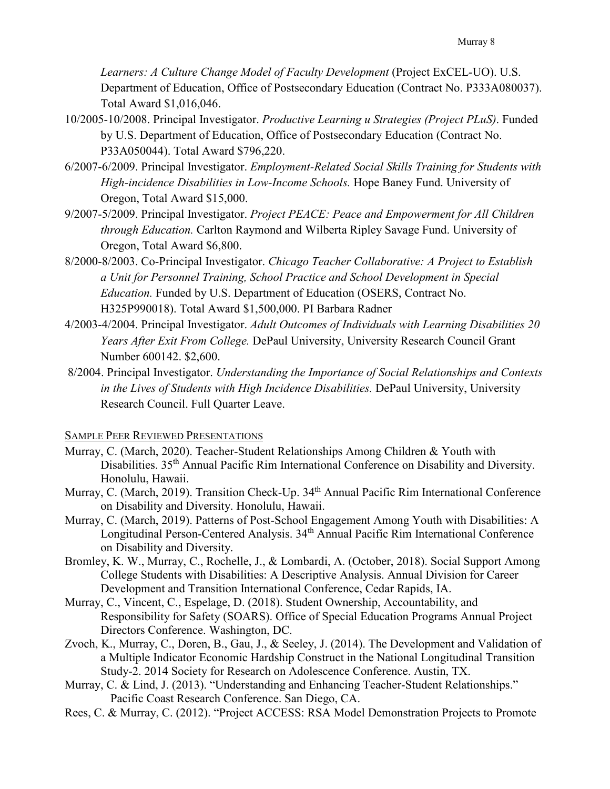*Learners: A Culture Change Model of Faculty Development* (Project ExCEL-UO). U.S. Department of Education, Office of Postsecondary Education (Contract No. P333A080037). Total Award \$1,016,046.

- 10/2005-10/2008. Principal Investigator. *Productive Learning u Strategies (Project PLuS)*. Funded by U.S. Department of Education, Office of Postsecondary Education (Contract No. P33A050044). Total Award \$796,220.
- 6/2007-6/2009. Principal Investigator. *Employment-Related Social Skills Training for Students with High-incidence Disabilities in Low-Income Schools.* Hope Baney Fund. University of Oregon, Total Award \$15,000.
- 9/2007-5/2009. Principal Investigator. *Project PEACE: Peace and Empowerment for All Children through Education.* Carlton Raymond and Wilberta Ripley Savage Fund. University of Oregon, Total Award \$6,800.
- 8/2000-8/2003. Co-Principal Investigator. *Chicago Teacher Collaborative: A Project to Establish a Unit for Personnel Training, School Practice and School Development in Special Education.* Funded by U.S. Department of Education (OSERS, Contract No. H325P990018). Total Award \$1,500,000. PI Barbara Radner
- 4/2003-4/2004. Principal Investigator. *Adult Outcomes of Individuals with Learning Disabilities 20 Years After Exit From College.* DePaul University, University Research Council Grant Number 600142. \$2,600.
- 8/2004. Principal Investigator. *Understanding the Importance of Social Relationships and Contexts in the Lives of Students with High Incidence Disabilities.* DePaul University, University Research Council. Full Quarter Leave.

### SAMPLE PEER REVIEWED PRESENTATIONS

- Murray, C. (March, 2020). Teacher-Student Relationships Among Children & Youth with Disabilities. 35<sup>th</sup> Annual Pacific Rim International Conference on Disability and Diversity. Honolulu, Hawaii.
- Murray, C. (March, 2019). Transition Check-Up. 34<sup>th</sup> Annual Pacific Rim International Conference on Disability and Diversity. Honolulu, Hawaii.
- Murray, C. (March, 2019). Patterns of Post-School Engagement Among Youth with Disabilities: A Longitudinal Person-Centered Analysis. 34<sup>th</sup> Annual Pacific Rim International Conference on Disability and Diversity.
- Bromley, K. W., Murray, C., Rochelle, J., & Lombardi, A. (October, 2018). Social Support Among College Students with Disabilities: A Descriptive Analysis. Annual Division for Career Development and Transition International Conference, Cedar Rapids, IA.
- Murray, C., Vincent, C., Espelage, D. (2018). Student Ownership, Accountability, and Responsibility for Safety (SOARS). Office of Special Education Programs Annual Project Directors Conference. Washington, DC.
- Zvoch, K., Murray, C., Doren, B., Gau, J., & Seeley, J. (2014). The Development and Validation of a Multiple Indicator Economic Hardship Construct in the National Longitudinal Transition Study-2. 2014 Society for Research on Adolescence Conference. Austin, TX.
- Murray, C. & Lind, J. (2013). "Understanding and Enhancing Teacher-Student Relationships." Pacific Coast Research Conference. San Diego, CA.
- Rees, C. & Murray, C. (2012). "Project ACCESS: RSA Model Demonstration Projects to Promote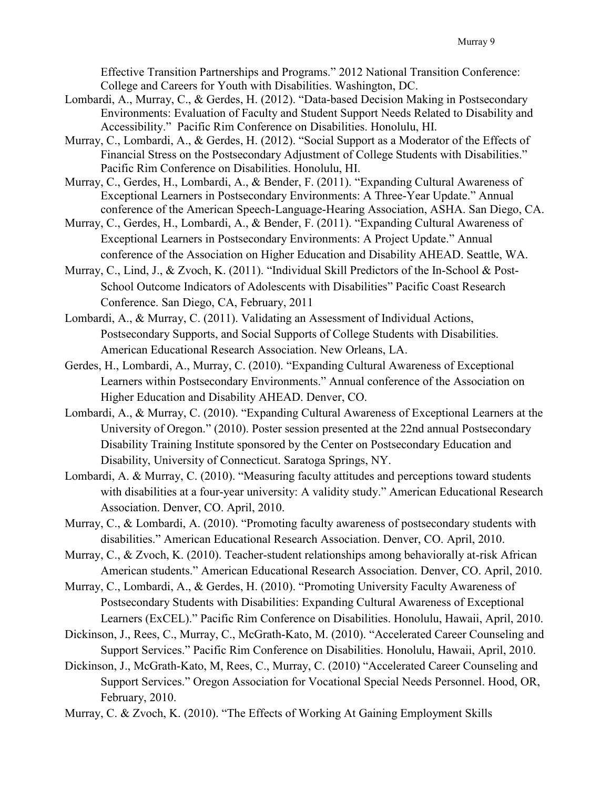Effective Transition Partnerships and Programs." 2012 National Transition Conference: College and Careers for Youth with Disabilities. Washington, DC.

- Lombardi, A., Murray, C., & Gerdes, H. (2012). "Data-based Decision Making in Postsecondary Environments: Evaluation of Faculty and Student Support Needs Related to Disability and Accessibility." Pacific Rim Conference on Disabilities. Honolulu, HI.
- Murray, C., Lombardi, A., & Gerdes, H. (2012). "Social Support as a Moderator of the Effects of Financial Stress on the Postsecondary Adjustment of College Students with Disabilities." Pacific Rim Conference on Disabilities. Honolulu, HI.
- Murray, C., Gerdes, H., Lombardi, A., & Bender, F. (2011). "Expanding Cultural Awareness of Exceptional Learners in Postsecondary Environments: A Three-Year Update." Annual conference of the American Speech-Language-Hearing Association, ASHA. San Diego, CA.
- Murray, C., Gerdes, H., Lombardi, A., & Bender, F. (2011). "Expanding Cultural Awareness of Exceptional Learners in Postsecondary Environments: A Project Update." Annual conference of the Association on Higher Education and Disability AHEAD. Seattle, WA.
- Murray, C., Lind, J., & Zvoch, K. (2011). "Individual Skill Predictors of the In-School & Post-School Outcome Indicators of Adolescents with Disabilities" Pacific Coast Research Conference. San Diego, CA, February, 2011
- Lombardi, A., & Murray, C. (2011). Validating an Assessment of Individual Actions, Postsecondary Supports, and Social Supports of College Students with Disabilities. American Educational Research Association. New Orleans, LA.
- Gerdes, H., Lombardi, A., Murray, C. (2010). "Expanding Cultural Awareness of Exceptional Learners within Postsecondary Environments." Annual conference of the Association on Higher Education and Disability AHEAD. Denver, CO.
- Lombardi, A., & Murray, C. (2010). "Expanding Cultural Awareness of Exceptional Learners at the University of Oregon." (2010). Poster session presented at the 22nd annual Postsecondary Disability Training Institute sponsored by the Center on Postsecondary Education and Disability, University of Connecticut. Saratoga Springs, NY.
- Lombardi, A. & Murray, C. (2010). "Measuring faculty attitudes and perceptions toward students with disabilities at a four-year university: A validity study." American Educational Research Association. Denver, CO. April, 2010.
- Murray, C., & Lombardi, A. (2010). "Promoting faculty awareness of postsecondary students with disabilities." American Educational Research Association. Denver, CO. April, 2010.

Murray, C., & Zvoch, K. (2010). Teacher-student relationships among behaviorally at-risk African American students." American Educational Research Association. Denver, CO. April, 2010.

- Murray, C., Lombardi, A., & Gerdes, H. (2010). "Promoting University Faculty Awareness of Postsecondary Students with Disabilities: Expanding Cultural Awareness of Exceptional Learners (ExCEL)." Pacific Rim Conference on Disabilities. Honolulu, Hawaii, April, 2010.
- Dickinson, J., Rees, C., Murray, C., McGrath-Kato, M. (2010). "Accelerated Career Counseling and Support Services." Pacific Rim Conference on Disabilities. Honolulu, Hawaii, April, 2010.
- Dickinson, J., McGrath-Kato, M, Rees, C., Murray, C. (2010) "Accelerated Career Counseling and Support Services." Oregon Association for Vocational Special Needs Personnel. Hood, OR, February, 2010.
- Murray, C. & Zvoch, K. (2010). "The Effects of Working At Gaining Employment Skills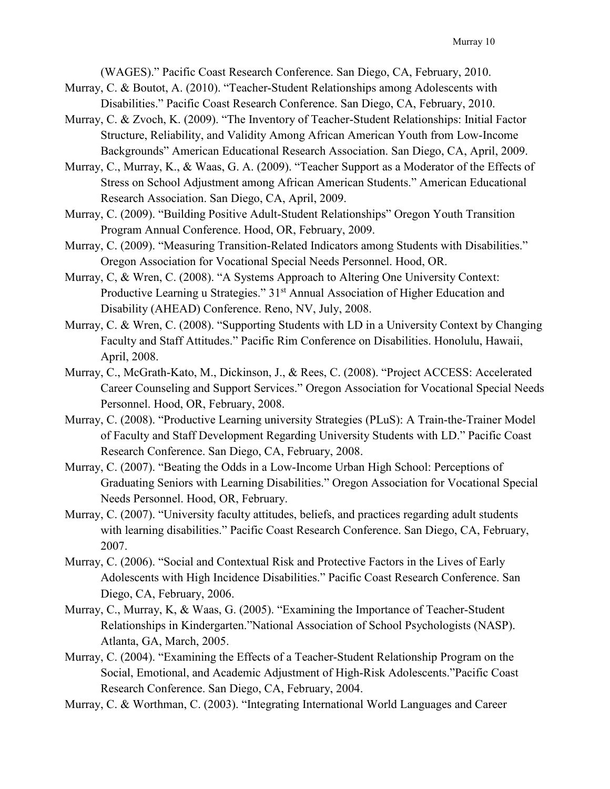(WAGES)." Pacific Coast Research Conference. San Diego, CA, February, 2010.

- Murray, C. & Boutot, A. (2010). "Teacher-Student Relationships among Adolescents with Disabilities." Pacific Coast Research Conference. San Diego, CA, February, 2010.
- Murray, C. & Zvoch, K. (2009). "The Inventory of Teacher-Student Relationships: Initial Factor Structure, Reliability, and Validity Among African American Youth from Low-Income Backgrounds" American Educational Research Association. San Diego, CA, April, 2009.
- Murray, C., Murray, K., & Waas, G. A. (2009). "Teacher Support as a Moderator of the Effects of Stress on School Adjustment among African American Students." American Educational Research Association. San Diego, CA, April, 2009.
- Murray, C. (2009). "Building Positive Adult-Student Relationships" Oregon Youth Transition Program Annual Conference. Hood, OR, February, 2009.
- Murray, C. (2009). "Measuring Transition-Related Indicators among Students with Disabilities." Oregon Association for Vocational Special Needs Personnel. Hood, OR.
- Murray, C, & Wren, C. (2008). "A Systems Approach to Altering One University Context: Productive Learning u Strategies." 31<sup>st</sup> Annual Association of Higher Education and Disability (AHEAD) Conference. Reno, NV, July, 2008.
- Murray, C. & Wren, C. (2008). "Supporting Students with LD in a University Context by Changing Faculty and Staff Attitudes." Pacific Rim Conference on Disabilities. Honolulu, Hawaii, April, 2008.
- Murray, C., McGrath-Kato, M., Dickinson, J., & Rees, C. (2008). "Project ACCESS: Accelerated Career Counseling and Support Services." Oregon Association for Vocational Special Needs Personnel. Hood, OR, February, 2008.
- Murray, C. (2008). "Productive Learning university Strategies (PLuS): A Train-the-Trainer Model of Faculty and Staff Development Regarding University Students with LD." Pacific Coast Research Conference. San Diego, CA, February, 2008.
- Murray, C. (2007). "Beating the Odds in a Low-Income Urban High School: Perceptions of Graduating Seniors with Learning Disabilities." Oregon Association for Vocational Special Needs Personnel. Hood, OR, February.
- Murray, C. (2007). "University faculty attitudes, beliefs, and practices regarding adult students with learning disabilities." Pacific Coast Research Conference. San Diego, CA, February, 2007.
- Murray, C. (2006). "Social and Contextual Risk and Protective Factors in the Lives of Early Adolescents with High Incidence Disabilities." Pacific Coast Research Conference. San Diego, CA, February, 2006.
- Murray, C., Murray, K, & Waas, G. (2005). "Examining the Importance of Teacher-Student Relationships in Kindergarten."National Association of School Psychologists (NASP). Atlanta, GA, March, 2005.
- Murray, C. (2004). "Examining the Effects of a Teacher-Student Relationship Program on the Social, Emotional, and Academic Adjustment of High-Risk Adolescents."Pacific Coast Research Conference. San Diego, CA, February, 2004.
- Murray, C. & Worthman, C. (2003). "Integrating International World Languages and Career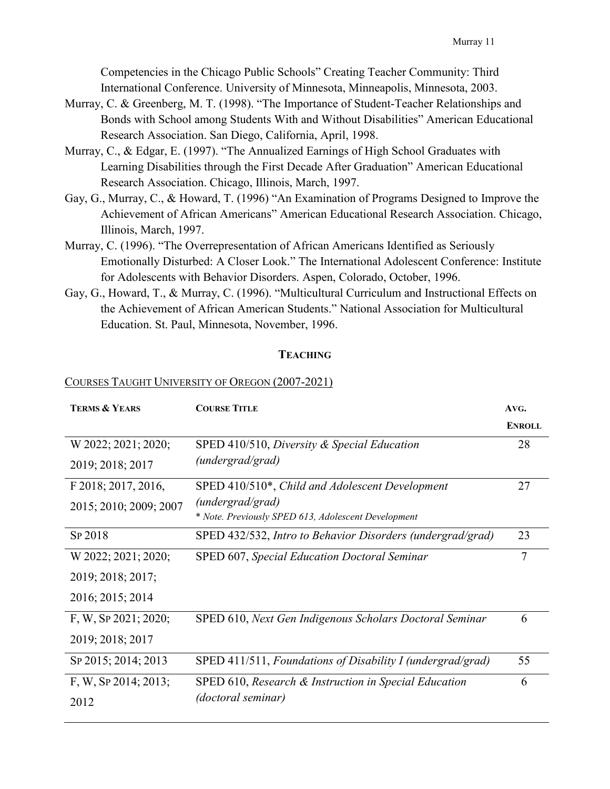Competencies in the Chicago Public Schools" Creating Teacher Community: Third International Conference. University of Minnesota, Minneapolis, Minnesota, 2003.

- Murray, C. & Greenberg, M. T. (1998). "The Importance of Student-Teacher Relationships and Bonds with School among Students With and Without Disabilities" American Educational Research Association. San Diego, California, April, 1998.
- Murray, C., & Edgar, E. (1997). "The Annualized Earnings of High School Graduates with Learning Disabilities through the First Decade After Graduation" American Educational Research Association. Chicago, Illinois, March, 1997.
- Gay, G., Murray, C., & Howard, T. (1996) "An Examination of Programs Designed to Improve the Achievement of African Americans" American Educational Research Association. Chicago, Illinois, March, 1997.
- Murray, C. (1996). "The Overrepresentation of African Americans Identified as Seriously Emotionally Disturbed: A Closer Look." The International Adolescent Conference: Institute for Adolescents with Behavior Disorders. Aspen, Colorado, October, 1996.
- Gay, G., Howard, T., & Murray, C. (1996). "Multicultural Curriculum and Instructional Effects on the Achievement of African American Students." National Association for Multicultural Education. St. Paul, Minnesota, November, 1996.

### **TEACHING**

### COURSES TAUGHT UNIVERSITY OF OREGON (2007-2021)

| <b>TERMS &amp; YEARS</b> | <b>COURSE TITLE</b>                                        | AVG.          |
|--------------------------|------------------------------------------------------------|---------------|
|                          |                                                            | <b>ENROLL</b> |
| W 2022; 2021; 2020;      | SPED 410/510, Diversity & Special Education                | 28            |
| 2019; 2018; 2017         | (undergrad/grad)                                           |               |
| F 2018; 2017, 2016,      | SPED 410/510*, Child and Adolescent Development            | 27            |
| 2015; 2010; 2009; 2007   | (undergrad/grad)                                           |               |
|                          | * Note. Previously SPED 613, Adolescent Development        |               |
| SP 2018                  | SPED 432/532, Intro to Behavior Disorders (undergrad/grad) | 23            |
| W 2022; 2021; 2020;      | SPED 607, Special Education Doctoral Seminar               | $\tau$        |
| 2019; 2018; 2017;        |                                                            |               |
| 2016; 2015; 2014         |                                                            |               |
| F, W, Sp 2021; 2020;     | SPED 610, Next Gen Indigenous Scholars Doctoral Seminar    | 6             |
| 2019; 2018; 2017         |                                                            |               |
| Sp 2015; 2014; 2013      | SPED 411/511, Foundations of Disability I (undergrad/grad) | 55            |
| F, W, SP 2014; 2013;     | SPED 610, Research & Instruction in Special Education      | 6             |
| 2012                     | (doctoral seminar)                                         |               |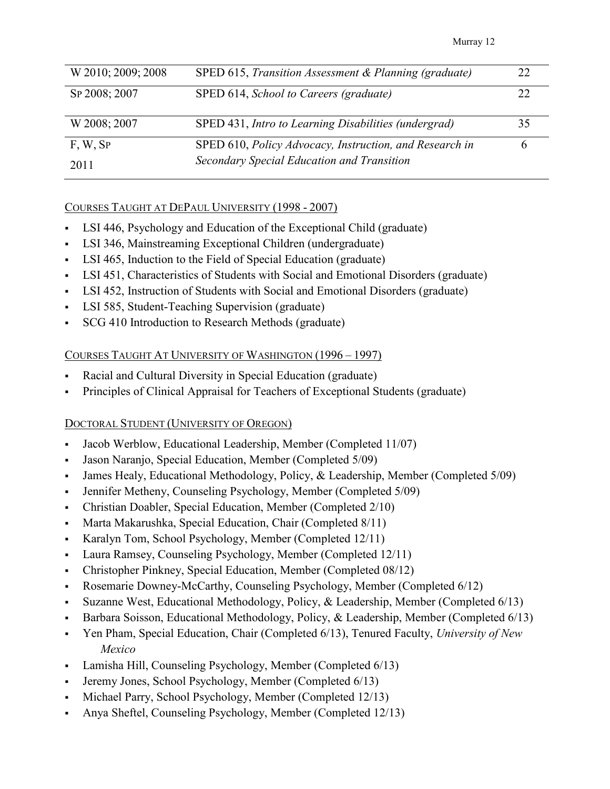| W 2010; 2009; 2008 | SPED 615, Transition Assessment & Planning (graduate)   |    |
|--------------------|---------------------------------------------------------|----|
| SP 2008; 2007      | SPED 614, School to Careers (graduate)                  |    |
| W 2008; 2007       | SPED 431, Intro to Learning Disabilities (undergrad)    | 35 |
| $F, W,$ Sp         | SPED 610, Policy Advocacy, Instruction, and Research in |    |
| 2011               | Secondary Special Education and Transition              |    |

# COURSES TAUGHT AT DEPAUL UNIVERSITY (1998 - 2007)

- LSI 446, Psychology and Education of the Exceptional Child (graduate)
- LSI 346, Mainstreaming Exceptional Children (undergraduate)
- LSI 465, Induction to the Field of Special Education (graduate)
- LSI 451, Characteristics of Students with Social and Emotional Disorders (graduate)
- LSI 452, Instruction of Students with Social and Emotional Disorders (graduate)
- LSI 585, Student-Teaching Supervision (graduate)
- SCG 410 Introduction to Research Methods (graduate)

# COURSES TAUGHT AT UNIVERSITY OF WASHINGTON (1996 – 1997)

- Racial and Cultural Diversity in Special Education (graduate)
- Principles of Clinical Appraisal for Teachers of Exceptional Students (graduate)

# DOCTORAL STUDENT (UNIVERSITY OF OREGON)

- Jacob Werblow, Educational Leadership, Member (Completed 11/07)
- Jason Naranjo, Special Education, Member (Completed 5/09)
- James Healy, Educational Methodology, Policy, & Leadership, Member (Completed 5/09)
- Jennifer Metheny, Counseling Psychology, Member (Completed 5/09)
- Christian Doabler, Special Education, Member (Completed 2/10)
- Marta Makarushka, Special Education, Chair (Completed 8/11)
- Karalyn Tom, School Psychology, Member (Completed 12/11)
- Laura Ramsey, Counseling Psychology, Member (Completed 12/11)
- Christopher Pinkney, Special Education, Member (Completed 08/12)
- Rosemarie Downey-McCarthy, Counseling Psychology, Member (Completed 6/12)
- Suzanne West, Educational Methodology, Policy, & Leadership, Member (Completed 6/13)
- Barbara Soisson, Educational Methodology, Policy, & Leadership, Member (Completed 6/13)
- Yen Pham, Special Education, Chair (Completed 6/13), Tenured Faculty, *University of New Mexico*
- Lamisha Hill, Counseling Psychology, Member (Completed 6/13)
- Jeremy Jones, School Psychology, Member (Completed 6/13)
- Michael Parry, School Psychology, Member (Completed 12/13)
- Anya Sheftel, Counseling Psychology, Member (Completed 12/13)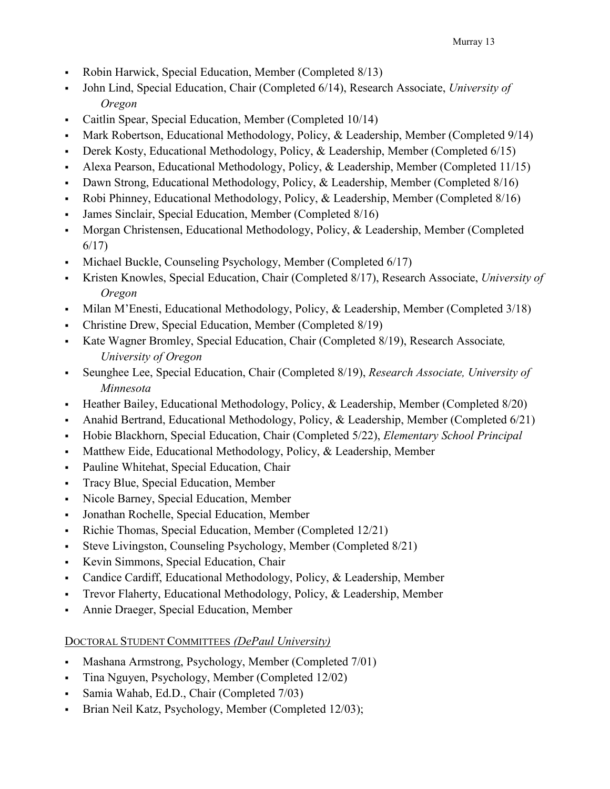- Robin Harwick, Special Education, Member (Completed 8/13)
- John Lind, Special Education, Chair (Completed 6/14), Research Associate, *University of Oregon*
- Caitlin Spear, Special Education, Member (Completed 10/14)
- Mark Robertson, Educational Methodology, Policy, & Leadership, Member (Completed 9/14)
- Derek Kosty, Educational Methodology, Policy, & Leadership, Member (Completed  $6/15$ )
- Alexa Pearson, Educational Methodology, Policy, & Leadership, Member (Completed 11/15)
- Dawn Strong, Educational Methodology, Policy, & Leadership, Member (Completed 8/16)
- Robi Phinney, Educational Methodology, Policy, & Leadership, Member (Completed 8/16)
- James Sinclair, Special Education, Member (Completed 8/16)
- Morgan Christensen, Educational Methodology, Policy, & Leadership, Member (Completed 6/17)
- Michael Buckle, Counseling Psychology, Member (Completed 6/17)
- Kristen Knowles, Special Education, Chair (Completed 8/17), Research Associate, *University of Oregon*
- Milan M'Enesti, Educational Methodology, Policy, & Leadership, Member (Completed  $3/18$ )
- Christine Drew, Special Education, Member (Completed 8/19)
- Kate Wagner Bromley, Special Education, Chair (Completed 8/19), Research Associate*, University of Oregon*
- Seunghee Lee, Special Education, Chair (Completed 8/19), *Research Associate, University of Minnesota*
- Heather Bailey, Educational Methodology, Policy, & Leadership, Member (Completed 8/20)
- Anahid Bertrand, Educational Methodology, Policy,  $\&$  Leadership, Member (Completed 6/21)
- Hobie Blackhorn, Special Education, Chair (Completed 5/22), *Elementary School Principal*
- Matthew Eide, Educational Methodology, Policy, & Leadership, Member
- Pauline Whitehat, Special Education, Chair
- Tracy Blue, Special Education, Member
- Nicole Barney, Special Education, Member
- Jonathan Rochelle, Special Education, Member
- Richie Thomas, Special Education, Member (Completed 12/21)
- Steve Livingston, Counseling Psychology, Member (Completed 8/21)
- Kevin Simmons, Special Education, Chair
- Candice Cardiff, Educational Methodology, Policy, & Leadership, Member
- Trevor Flaherty, Educational Methodology, Policy, & Leadership, Member
- Annie Draeger, Special Education, Member

# DOCTORAL STUDENT COMMITTEES *(DePaul University)*

- Mashana Armstrong, Psychology, Member (Completed 7/01)
- Tina Nguyen, Psychology, Member (Completed 12/02)
- Samia Wahab, Ed.D., Chair (Completed 7/03)
- Brian Neil Katz, Psychology, Member (Completed 12/03);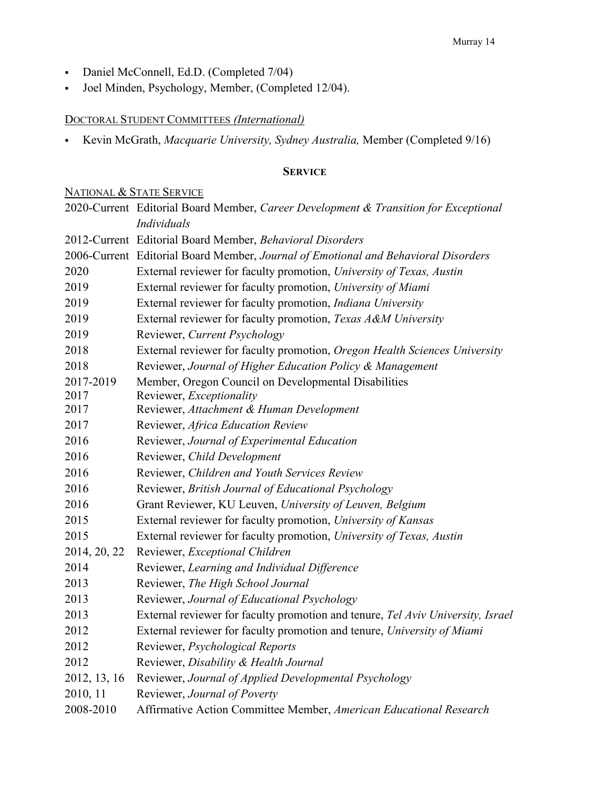- Daniel McConnell, Ed.D. (Completed 7/04)
- Joel Minden, Psychology, Member, (Completed 12/04).

# DOCTORAL STUDENT COMMITTEES *(International)*

Kevin McGrath, *Macquarie University, Sydney Australia,* Member (Completed 9/16)

# **SERVICE**

### NATIONAL & STATE SERVICE

|              | 2020-Current Editorial Board Member, Career Development & Transition for Exceptional |  |
|--------------|--------------------------------------------------------------------------------------|--|
|              | Individuals                                                                          |  |
|              | 2012-Current Editorial Board Member, Behavioral Disorders                            |  |
|              | 2006-Current Editorial Board Member, Journal of Emotional and Behavioral Disorders   |  |
| 2020         | External reviewer for faculty promotion, University of Texas, Austin                 |  |
| 2019         | External reviewer for faculty promotion, University of Miami                         |  |
| 2019         | External reviewer for faculty promotion, Indiana University                          |  |
| 2019         | External reviewer for faculty promotion, Texas A&M University                        |  |
| 2019         | Reviewer, Current Psychology                                                         |  |
| 2018         | External reviewer for faculty promotion, Oregon Health Sciences University           |  |
| 2018         | Reviewer, Journal of Higher Education Policy & Management                            |  |
| 2017-2019    | Member, Oregon Council on Developmental Disabilities                                 |  |
| 2017         | Reviewer, Exceptionality                                                             |  |
| 2017         | Reviewer, Attachment & Human Development                                             |  |
| 2017         | Reviewer, Africa Education Review                                                    |  |
| 2016         | Reviewer, Journal of Experimental Education                                          |  |
| 2016         | Reviewer, Child Development                                                          |  |
| 2016         | Reviewer, Children and Youth Services Review                                         |  |
| 2016         | Reviewer, British Journal of Educational Psychology                                  |  |
| 2016         | Grant Reviewer, KU Leuven, University of Leuven, Belgium                             |  |
| 2015         | External reviewer for faculty promotion, University of Kansas                        |  |
| 2015         | External reviewer for faculty promotion, University of Texas, Austin                 |  |
| 2014, 20, 22 | Reviewer, Exceptional Children                                                       |  |
| 2014         | Reviewer, Learning and Individual Difference                                         |  |
| 2013         | Reviewer, The High School Journal                                                    |  |
| 2013         | Reviewer, Journal of Educational Psychology                                          |  |
| 2013         | External reviewer for faculty promotion and tenure, Tel Aviv University, Israel      |  |
| 2012         | External reviewer for faculty promotion and tenure, University of Miami              |  |
| 2012         | Reviewer, Psychological Reports                                                      |  |
| 2012         | Reviewer, Disability & Health Journal                                                |  |
| 2012, 13, 16 | Reviewer, Journal of Applied Developmental Psychology                                |  |
| 2010, 11     | Reviewer, Journal of Poverty                                                         |  |
| 2008-2010    | Affirmative Action Committee Member, American Educational Research                   |  |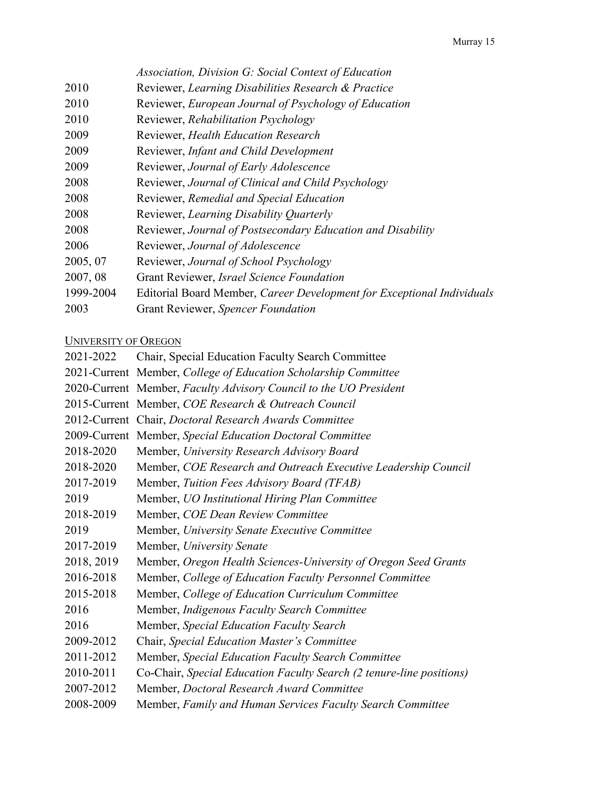|           | Association, Division G: Social Context of Education                   |
|-----------|------------------------------------------------------------------------|
| 2010      | Reviewer, Learning Disabilities Research & Practice                    |
| 2010      | Reviewer, European Journal of Psychology of Education                  |
| 2010      | Reviewer, Rehabilitation Psychology                                    |
| 2009      | Reviewer, Health Education Research                                    |
| 2009      | Reviewer, Infant and Child Development                                 |
| 2009      | Reviewer, Journal of Early Adolescence                                 |
| 2008      | Reviewer, Journal of Clinical and Child Psychology                     |
| 2008      | Reviewer, Remedial and Special Education                               |
| 2008      | Reviewer, Learning Disability Quarterly                                |
| 2008      | Reviewer, Journal of Postsecondary Education and Disability            |
| 2006      | Reviewer, Journal of Adolescence                                       |
| 2005, 07  | Reviewer, Journal of School Psychology                                 |
| 2007, 08  | Grant Reviewer, Israel Science Foundation                              |
| 1999-2004 | Editorial Board Member, Career Development for Exceptional Individuals |
| 2003      | Grant Reviewer, Spencer Foundation                                     |
|           |                                                                        |

### UNIVERSITY OF OREGON

| 2021-2022  | Chair, Special Education Faculty Search Committee                    |
|------------|----------------------------------------------------------------------|
|            | 2021-Current Member, College of Education Scholarship Committee      |
|            | 2020-Current Member, Faculty Advisory Council to the UO President    |
|            | 2015-Current Member, COE Research & Outreach Council                 |
|            | 2012-Current Chair, Doctoral Research Awards Committee               |
|            | 2009-Current Member, Special Education Doctoral Committee            |
| 2018-2020  | Member, University Research Advisory Board                           |
| 2018-2020  | Member, COE Research and Outreach Executive Leadership Council       |
| 2017-2019  | Member, Tuition Fees Advisory Board (TFAB)                           |
| 2019       | Member, UO Institutional Hiring Plan Committee                       |
| 2018-2019  | Member, COE Dean Review Committee                                    |
| 2019       | Member, University Senate Executive Committee                        |
| 2017-2019  | Member, University Senate                                            |
| 2018, 2019 | Member, Oregon Health Sciences-University of Oregon Seed Grants      |
| 2016-2018  | Member, College of Education Faculty Personnel Committee             |
| 2015-2018  | Member, College of Education Curriculum Committee                    |
| 2016       | Member, Indigenous Faculty Search Committee                          |
| 2016       | Member, Special Education Faculty Search                             |
| 2009-2012  | Chair, Special Education Master's Committee                          |
| 2011-2012  | Member, Special Education Faculty Search Committee                   |
| 2010-2011  | Co-Chair, Special Education Faculty Search (2 tenure-line positions) |
| 2007-2012  | Member, Doctoral Research Award Committee                            |
| 2008-2009  | Member, Family and Human Services Faculty Search Committee           |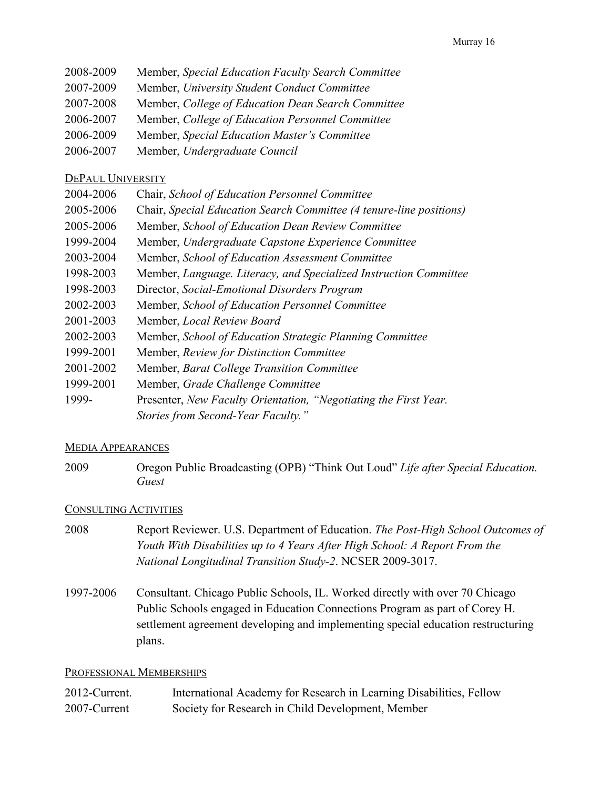- 2008-2009 Member, *Special Education Faculty Search Committee*
- 2007-2009 Member, *University Student Conduct Committee*
- 2007-2008 Member, *College of Education Dean Search Committee*
- 2006-2007 Member, *College of Education Personnel Committee*
- 2006-2009 Member, *Special Education Master's Committee*
- 2006-2007 Member, *Undergraduate Council*

# DEPAUL UNIVERSITY

- 2004-2006 Chair, *School of Education Personnel Committee*
- 2005-2006 Chair, *Special Education Search Committee (4 tenure-line positions)*
- 2005-2006 Member, *School of Education Dean Review Committee*
- 1999-2004 Member, *Undergraduate Capstone Experience Committee*
- 2003-2004 Member, *School of Education Assessment Committee*
- 1998-2003 Member, *Language. Literacy, and Specialized Instruction Committee*
- 1998-2003 Director, *Social-Emotional Disorders Program*
- 2002-2003 Member, *School of Education Personnel Committee*
- 2001-2003 Member, *Local Review Board*
- 2002-2003 Member, *School of Education Strategic Planning Committee*
- 1999-2001 Member, *Review for Distinction Committee*
- 2001-2002 Member, *Barat College Transition Committee*
- 1999-2001 Member, *Grade Challenge Committee*
- 1999- Presenter, *New Faculty Orientation, "Negotiating the First Year. Stories from Second-Year Faculty."*

# MEDIA APPEARANCES

2009 Oregon Public Broadcasting (OPB) "Think Out Loud" *Life after Special Education. Guest*

# CONSULTING ACTIVITIES

- 2008 Report Reviewer. U.S. Department of Education. *The Post-High School Outcomes of Youth With Disabilities up to 4 Years After High School: A Report From the National Longitudinal Transition Study-2*. NCSER 2009-3017.
- 1997-2006 Consultant. Chicago Public Schools, IL. Worked directly with over 70 Chicago Public Schools engaged in Education Connections Program as part of Corey H. settlement agreement developing and implementing special education restructuring plans.

### PROFESSIONAL MEMBERSHIPS

| 2012-Current. | International Academy for Research in Learning Disabilities, Fellow |
|---------------|---------------------------------------------------------------------|
| 2007-Current  | Society for Research in Child Development, Member                   |